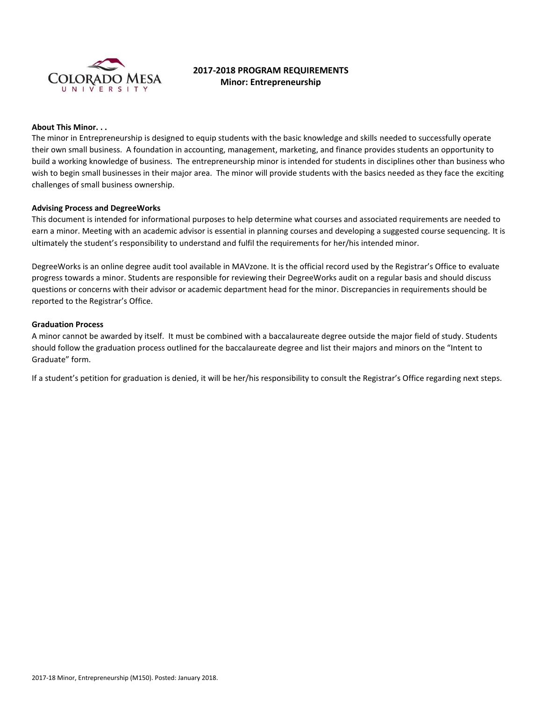

# **2017-2018 PROGRAM REQUIREMENTS Minor: Entrepreneurship**

# **About This Minor. . .**

The minor in Entrepreneurship is designed to equip students with the basic knowledge and skills needed to successfully operate their own small business. A foundation in accounting, management, marketing, and finance provides students an opportunity to build a working knowledge of business. The entrepreneurship minor is intended for students in disciplines other than business who wish to begin small businesses in their major area. The minor will provide students with the basics needed as they face the exciting challenges of small business ownership.

#### **Advising Process and DegreeWorks**

This document is intended for informational purposes to help determine what courses and associated requirements are needed to earn a minor. Meeting with an academic advisor is essential in planning courses and developing a suggested course sequencing. It is ultimately the student's responsibility to understand and fulfil the requirements for her/his intended minor.

DegreeWorks is an online degree audit tool available in MAVzone. It is the official record used by the Registrar's Office to evaluate progress towards a minor. Students are responsible for reviewing their DegreeWorks audit on a regular basis and should discuss questions or concerns with their advisor or academic department head for the minor. Discrepancies in requirements should be reported to the Registrar's Office.

#### **Graduation Process**

A minor cannot be awarded by itself. It must be combined with a baccalaureate degree outside the major field of study. Students should follow the graduation process outlined for the baccalaureate degree and list their majors and minors on the "Intent to Graduate" form.

If a student's petition for graduation is denied, it will be her/his responsibility to consult the Registrar's Office regarding next steps.